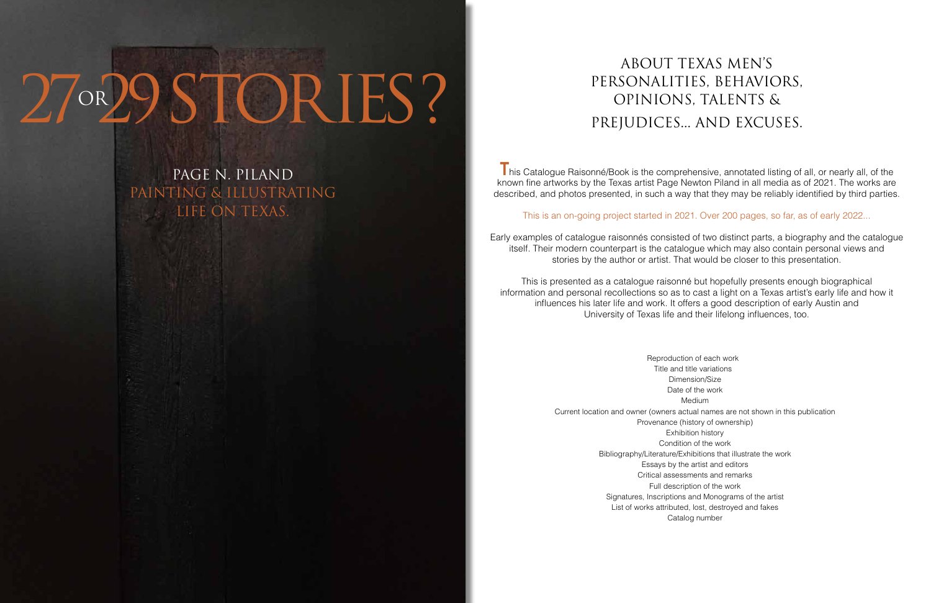# 27°29STORIES?

page N. piland painting & illustrating life on texas.

**T** his Catalogue Raisonné/Book is the comprehensive, annotated listing of all, or nearly all, of the known fine artworks by the Texas artist Page Newton Piland in all media as of 2021. The works are described, and photos presented, in such a way that they may be reliably identified by third parties.

#### This is an on-going project started in 2021. Over 200 pages, so far, as of early 2022...

- 
- 
- 
- 
- 
- 
- 
- 
- 
- 
- 
- 
- 
- 
- 

Early examples of catalogue raisonnés consisted of two distinct parts, a biography and the catalogue itself. Their modern counterpart is the catalogue which may also contain personal views and stories by the author or artist. That would be closer to this presentation.

This is presented as a catalogue raisonné but hopefully presents enough biographical information and personal recollections so as to cast a light on a Texas artist's early life and how it influences his later life and work. It offers a good description of early Austin and University of Texas life and their lifelong influences, too.

## about Texas men's Personalities, behaviors, Opinions, talents & prejudices... and excuses.

 Reproduction of each work Title and title variations Dimension/Size Date of the work Medium Current location and owner (owners actual names are not shown in this publication Provenance (history of ownership) Exhibition history Condition of the work Bibliography/Literature/Exhibitions that illustrate the work Essays by the artist and editors Critical assessments and remarks Full description of the work Signatures, Inscriptions and Monograms of the artist List of works attributed, lost, destroyed and fakes Catalog number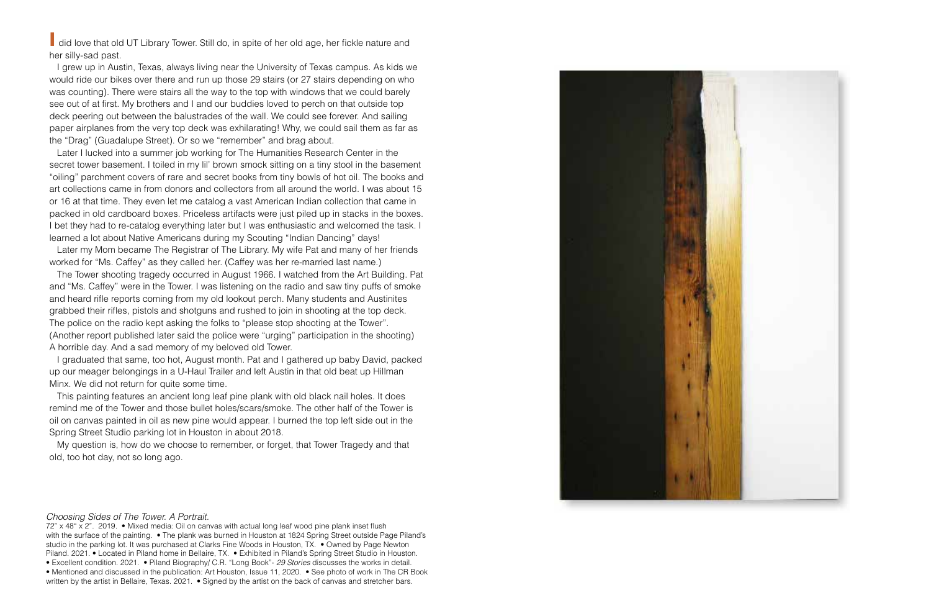**I** did love that old UT Library Tower. Still do, in spite of her old age, her fickle nature and her silly-sad past.

 I grew up in Austin, Texas, always living near the University of Texas campus. As kids we would ride our bikes over there and run up those 29 stairs (or 27 stairs depending on who was counting). There were stairs all the way to the top with windows that we could barely see out of at first. My brothers and I and our buddies loved to perch on that outside top deck peering out between the balustrades of the wall. We could see forever. And sailing paper airplanes from the very top deck was exhilarating! Why, we could sail them as far as the "Drag" (Guadalupe Street). Or so we "remember" and brag about.

 Later I lucked into a summer job working for The Humanities Research Center in the secret tower basement. I toiled in my lil' brown smock sitting on a tiny stool in the basement "oiling" parchment covers of rare and secret books from tiny bowls of hot oil. The books and art collections came in from donors and collectors from all around the world. I was about 15 or 16 at that time. They even let me catalog a vast American Indian collection that came in packed in old cardboard boxes. Priceless artifacts were just piled up in stacks in the boxes. I bet they had to re-catalog everything later but I was enthusiastic and welcomed the task. I learned a lot about Native Americans during my Scouting "Indian Dancing" days!

 Later my Mom became The Registrar of The Library. My wife Pat and many of her friends worked for "Ms. Caffey" as they called her. (Caffey was her re-married last name.)

 The Tower shooting tragedy occurred in August 1966. I watched from the Art Building. Pat and "Ms. Caffey" were in the Tower. I was listening on the radio and saw tiny puffs of smoke and heard rifle reports coming from my old lookout perch. Many students and Austinites grabbed their rifles, pistols and shotguns and rushed to join in shooting at the top deck. The police on the radio kept asking the folks to "please stop shooting at the Tower". (Another report published later said the police were "urging" participation in the shooting) A horrible day. And a sad memory of my beloved old Tower.

 I graduated that same, too hot, August month. Pat and I gathered up baby David, packed up our meager belongings in a U-Haul Trailer and left Austin in that old beat up Hillman Minx. We did not return for quite some time.

 This painting features an ancient long leaf pine plank with old black nail holes. It does remind me of the Tower and those bullet holes/scars/smoke. The other half of the Tower is oil on canvas painted in oil as new pine would appear. I burned the top left side out in the Spring Street Studio parking lot in Houston in about 2018.

 My question is, how do we choose to remember, or forget, that Tower Tragedy and that old, too hot day, not so long ago.

### *Choosing Sides of The Tower. A Portrait.*

72" x 48" x 2". 2019. • Mixed media: Oil on canvas with actual long leaf wood pine plank inset flush with the surface of the painting. • The plank was burned in Houston at 1824 Spring Street outside Page Piland's studio in the parking lot. It was purchased at Clarks Fine Woods in Houston, TX. • Owned by Page Newton Piland. 2021. • Located in Piland home in Bellaire, TX. • Exhibited in Piland's Spring Street Studio in Houston. • Excellent condition. 2021. • Piland Biography/ C.R. "Long Book"- *29 Stories* discusses the works in detail. • Mentioned and discussed in the publication: Art Houston, Issue 11, 2020. • See photo of work in The CR Book written by the artist in Bellaire, Texas. 2021. • Signed by the artist on the back of canvas and stretcher bars.

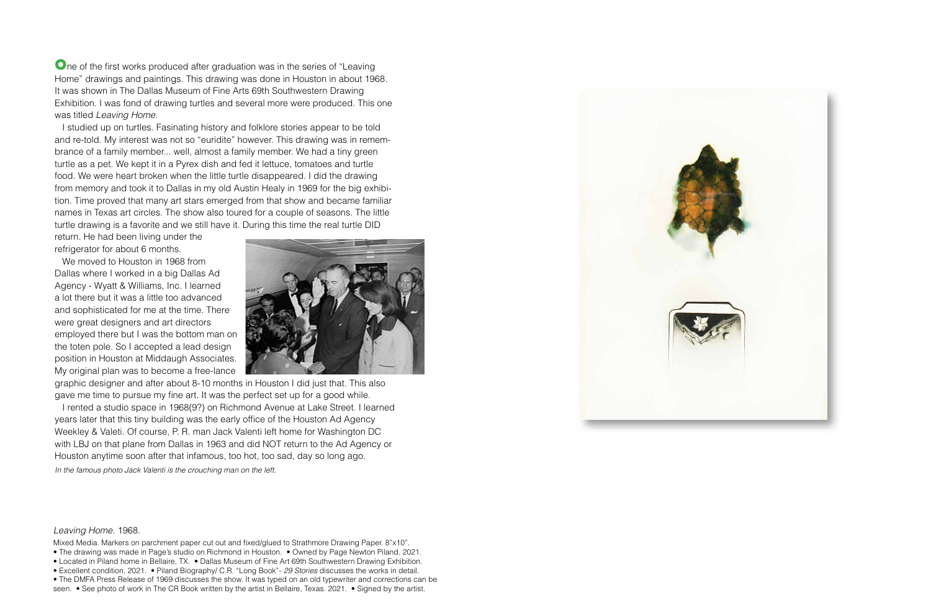**O**ne of the first works produced after graduation was in the series of "Leaving" Home" drawings and paintings. This drawing was done in Houston in about 1968. It was shown in The Dallas Museum of Fine Arts 69th Southwestern Drawing Exhibition. I was fond of drawing turtles and several more were produced. This one was titled *Leaving Home.* 

 I studied up on turtles. Fasinating history and folklore stories appear to be told and re-told. My interest was not so "euridite" however. This drawing was in remembrance of a family member... well, almost a family member. We had a tiny green turtle as a pet. We kept it in a Pyrex dish and fed it lettuce, tomatoes and turtle food. We were heart broken when the little turtle disappeared. I did the drawing from memory and took it to Dallas in my old Austin Healy in 1969 for the big exhibition. Time proved that many art stars emerged from that show and became familiar names in Texas art circles. The show also toured for a couple of seasons. The little turtle drawing is a favorite and we still have it. During this time the real turtle DID

return. He had been living under the refrigerator for about 6 months.

 We moved to Houston in 1968 from Dallas where I worked in a big Dallas Ad Agency - Wyatt & Williams, Inc. I learned a lot there but it was a little too advanced and sophisticated for me at the time. There were great designers and art directors employed there but I was the bottom man on the toten pole. So I accepted a lead design position in Houston at Middaugh Associates. My original plan was to become a free-lance



graphic designer and after about 8-10 months in Houston I did just that. This also gave me time to pursue my fine art. It was the perfect set up for a good while.

 I rented a studio space in 1968(9?) on Richmond Avenue at Lake Street. I learned years later that this tiny building was the early office of the Houston Ad Agency Weekley & Valeti. Of course, P. R. man Jack Valenti left home for Washington DC with LBJ on that plane from Dallas in 1963 and did NOT return to the Ad Agency or Houston anytime soon after that infamous, too hot, too sad, day so long ago. *In the famous photo Jack Valenti is the crouching man on the left.* 

#### *Leaving Home.* 1968.

Mixed Media. Markers on parchment paper cut out and fixed/glued to Strathmore Drawing Paper. 8"x10".

- The drawing was made in Page's studio on Richmond in Houston. Owned by Page Newton Piland. 2021.
- Located in Piland home in Bellaire, TX. Dallas Museum of Fine Art 69th Southwestern Drawing Exhibition.
- Excellent condition. 2021. Piland Biography/ C.R. "Long Book"- *29 Stories* discusses the works in detail.
- The DMFA Press Release of 1969 discusses the show. It was typed on an old typewriter and corrections can be

seen. • See photo of work in The CR Book written by the artist in Bellaire, Texas. 2021. • Signed by the artist.

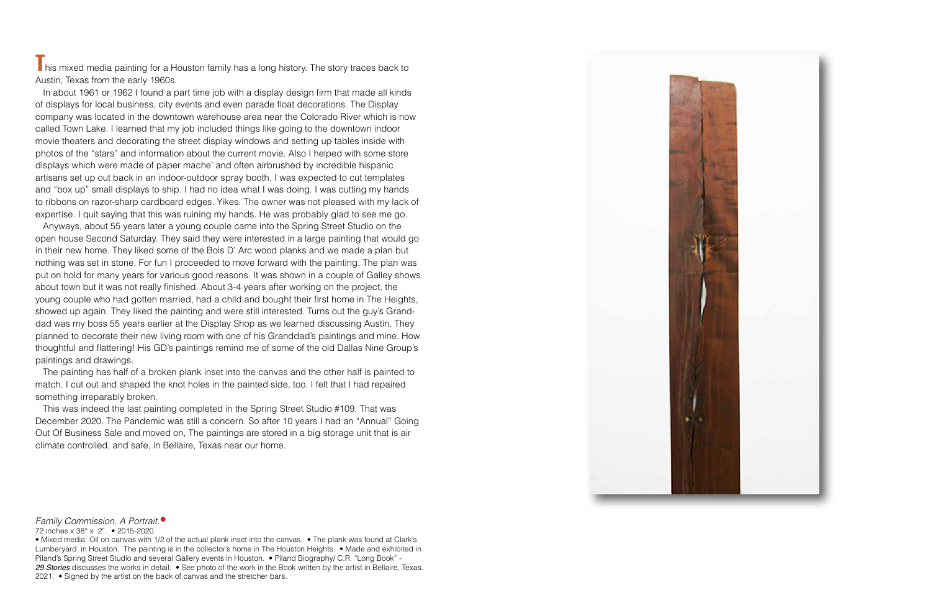$\blacksquare$  his mixed media painting for a Houston family has a long history. The story traces back to Austin, Texas from the early 1960s.

 In about 1961 or 1962 I found a part time job with a display design firm that made all kinds of displays for local business, city events and even parade float decorations. The Display company was located in the downtown warehouse area near the Colorado River which is now called Town Lake. I learned that my job included things like going to the downtown indoor movie theaters and decorating the street display windows and setting up tables inside with photos of the "stars" and information about the current movie. Also I helped with some store displays which were made of paper mache' and often airbrushed by incredible hispanic artisans set up out back in an indoor-outdoor spray booth. I was expected to cut templates and "box up" small displays to ship. I had no idea what I was doing. I was cutting my hands to ribbons on razor-sharp cardboard edges. Yikes. The owner was not pleased with my lack of expertise. I quit saying that this was ruining my hands. He was probably glad to see me go.

 Anyways, about 55 years later a young couple came into the Spring Street Studio on the open house Second Saturday. They said they were interested in a large painting that would go in their new home. They liked some of the Bois D' Arc wood planks and we made a plan but nothing was set in stone. For fun I proceeded to move forward with the painting. The plan was put on hold for many years for various good reasons. It was shown in a couple of Galley shows about town but it was not really finished. About 3-4 years after working on the project, the young couple who had gotten married, had a child and bought their first home in The Heights, showed up again. They liked the painting and were still interested. Turns out the guy's Granddad was my boss 55 years earlier at the Display Shop as we learned discussing Austin. They planned to decorate their new living room with one of his Granddad's paintings and mine. How thoughtful and flattering! His GD's paintings remind me of some of the old Dallas Nine Group's paintings and drawings.

 The painting has half of a broken plank inset into the canvas and the other half is painted to match. I cut out and shaped the knot holes in the painted side, too. I felt that I had repaired something irreparably broken.

 This was indeed the last painting completed in the Spring Street Studio #109. That was December 2020. The Pandemic was still a concern. So after 10 years I had an "Annual" Going Out Of Business Sale and moved on, The paintings are stored in a big storage unit that is air climate controlled, and safe, in Bellaire, Texas near our home.



*Family Commission. A Portrait.*•

• Mixed media: Oil on canvas with 1/2 of the actual plank inset into the canvas. • The plank was found at Clark's Lumberyard in Houston. The painting is in the collector's home in The Houston Heights. • Made and exhibited in Piland's Spring Street Studio and several Gallery events in Houston. • Piland Biography/ C.R. "Long Book" - 29 Stories discusses the works in detail. • See photo of the work in the Book written by the artist in Bellaire, Texas. 2021. • Signed by the artist on the back of canvas and the stretcher bars.

<sup>72</sup> inches x 38" x 2". • 2015-2020.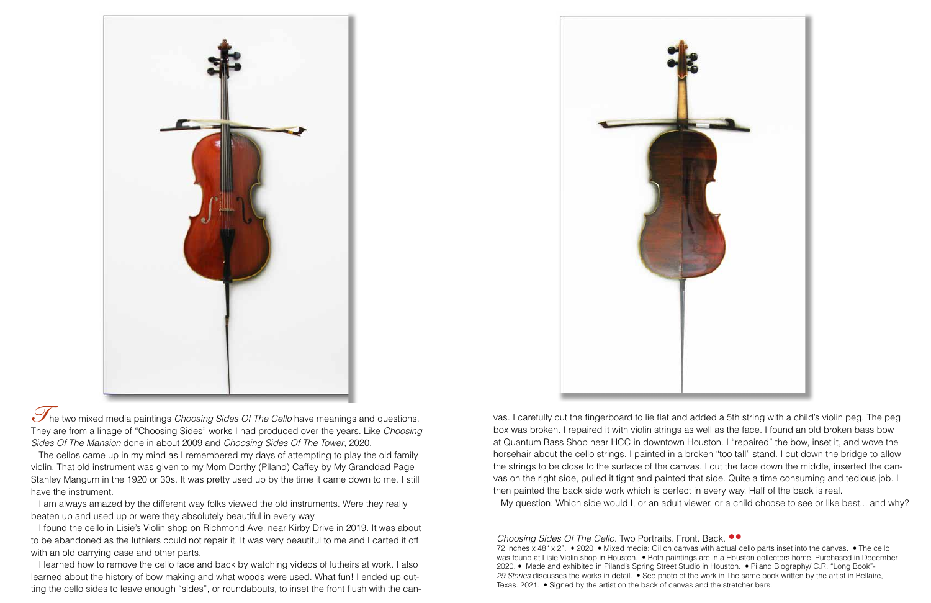*Choosing Sides Of The Cello.* Two Portraits. Front. Back*.* •• 72 inches x 48" x 2". • 2020 • Mixed media: Oil on canvas with actual cello parts inset into the canvas. • The cello was found at Lisie Violin shop in Houston. • Both paintings are in a Houston collectors home. Purchased in December 2020. • Made and exhibited in Piland's Spring Street Studio in Houston. • Piland Biography/ C.R. "Long Book"- *29 Stories* discusses the works in detail. • See photo of the work in The same book written by the artist in Bellaire, Texas. 2021. • Signed by the artist on the back of canvas and the stretcher bars.





The two mixed media paintings *Choosing Sides Of The Cello* have meanings and questions. They are from a linage of "Choosing Sides" works I had produced over the years. Like *Choosing Sides Of The Mansion* done in about 2009 and *Choosing Sides Of The Tower*, 2020.

 The cellos came up in my mind as I remembered my days of attempting to play the old family violin. That old instrument was given to my Mom Dorthy (Piland) Caffey by My Granddad Page Stanley Mangum in the 1920 or 30s. It was pretty used up by the time it came down to me. I still have the instrument.

 I am always amazed by the different way folks viewed the old instruments. Were they really beaten up and used up or were they absolutely beautiful in every way.

 I found the cello in Lisie's Violin shop on Richmond Ave. near Kirby Drive in 2019. It was about to be abandoned as the luthiers could not repair it. It was very beautiful to me and I carted it off with an old carrying case and other parts.

 I learned how to remove the cello face and back by watching videos of lutheirs at work. I also learned about the history of bow making and what woods were used. What fun! I ended up cutting the cello sides to leave enough "sides", or roundabouts, to inset the front flush with the can-

vas. I carefully cut the fingerboard to lie flat and added a 5th string with a child's violin peg. The peg box was broken. I repaired it with violin strings as well as the face. I found an old broken bass bow at Quantum Bass Shop near HCC in downtown Houston. I "repaired" the bow, inset it, and wove the horsehair about the cello strings. I painted in a broken "too tall" stand. I cut down the bridge to allow the strings to be close to the surface of the canvas. I cut the face down the middle, inserted the canvas on the right side, pulled it tight and painted that side. Quite a time consuming and tedious job. I then painted the back side work which is perfect in every way. Half of the back is real. My question: Which side would I, or an adult viewer, or a child choose to see or like best... and why?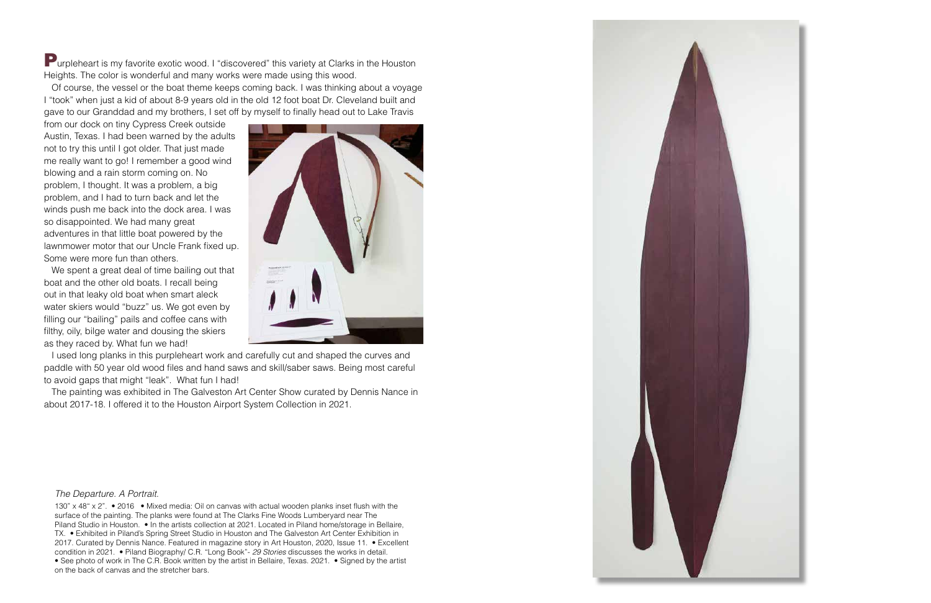Purpleheart is my favorite exotic wood. I "discovered" this variety at Clarks in the Houston Heights. The color is wonderful and many works were made using this wood.

 Of course, the vessel or the boat theme keeps coming back. I was thinking about a voyage I "took" when just a kid of about 8-9 years old in the old 12 foot boat Dr. Cleveland built and gave to our Granddad and my brothers, I set off by myself to finally head out to Lake Travis

from our dock on tiny Cypress Creek outside Austin, Texas. I had been warned by the adults not to try this until I got older. That just made me really want to go! I remember a good wind blowing and a rain storm coming on. No problem, I thought. It was a problem, a big problem, and I had to turn back and let the winds push me back into the dock area. I was so disappointed. We had many great adventures in that little boat powered by the lawnmower motor that our Uncle Frank fixed up. Some were more fun than others.

 We spent a great deal of time bailing out that boat and the other old boats. I recall being out in that leaky old boat when smart aleck water skiers would "buzz" us. We got even by filling our "bailing" pails and coffee cans with filthy, oily, bilge water and dousing the skiers as they raced by. What fun we had!



 I used long planks in this purpleheart work and carefully cut and shaped the curves and paddle with 50 year old wood files and hand saws and skill/saber saws. Being most careful to avoid gaps that might "leak". What fun I had!

 The painting was exhibited in The Galveston Art Center Show curated by Dennis Nance in about 2017-18. I offered it to the Houston Airport System Collection in 2021.

#### *The Departure. A Portrait.*

130" x 48" x 2". • 2016 • Mixed media: Oil on canvas with actual wooden planks inset flush with the surface of the painting. The planks were found at The Clarks Fine Woods Lumberyard near The Piland Studio in Houston. • In the artists collection at 2021. Located in Piland home/storage in Bellaire, TX. • Exhibited in Piland's Spring Street Studio in Houston and The Galveston Art Center Exhibition in 2017. Curated by Dennis Nance. Featured in magazine story in Art Houston, 2020, Issue 11. • Excellent condition in 2021. • Piland Biography/ C.R. "Long Book"- *29 Stories* discusses the works in detail. • See photo of work in The C.R. Book written by the artist in Bellaire, Texas. 2021. • Signed by the artist on the back of canvas and the stretcher bars.